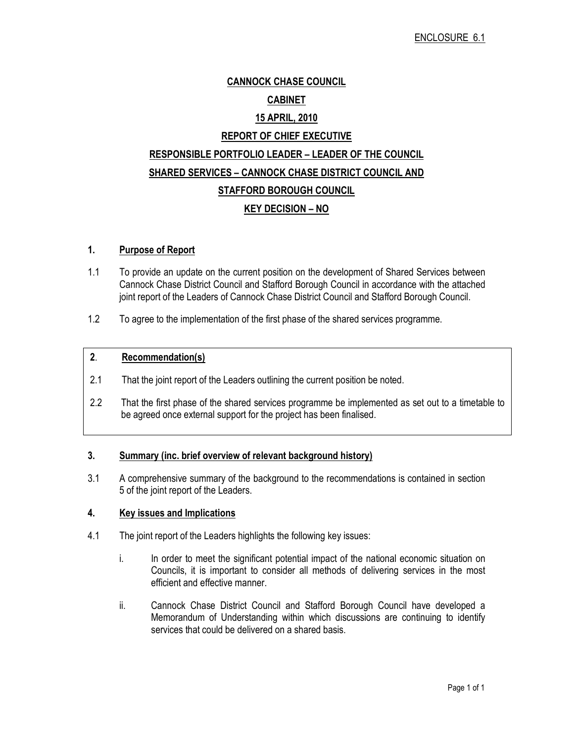# CANNOCK CHASE COUNCIL CABINET 15 APRIL, 2010 REPORT OF CHIEF EXECUTIVE RESPONSIBLE PORTFOLIO LEADER – LEADER OF THE COUNCIL SHARED SERVICES – CANNOCK CHASE DISTRICT COUNCIL AND STAFFORD BOROUGH COUNCIL KEY DECISION – NO

#### 1. Purpose of Report

- 1.1 To provide an update on the current position on the development of Shared Services between Cannock Chase District Council and Stafford Borough Council in accordance with the attached joint report of the Leaders of Cannock Chase District Council and Stafford Borough Council.
- 1.2 To agree to the implementation of the first phase of the shared services programme.

#### 2. Recommendation(s)

- 2.1 That the joint report of the Leaders outlining the current position be noted.
- 2.2 That the first phase of the shared services programme be implemented as set out to a timetable to be agreed once external support for the project has been finalised.

#### 3. Summary (inc. brief overview of relevant background history)

3.1 A comprehensive summary of the background to the recommendations is contained in section 5 of the joint report of the Leaders.

#### 4. Key issues and Implications

- 4.1 The joint report of the Leaders highlights the following key issues:
	- i. In order to meet the significant potential impact of the national economic situation on Councils, it is important to consider all methods of delivering services in the most efficient and effective manner.
	- ii. Cannock Chase District Council and Stafford Borough Council have developed a Memorandum of Understanding within which discussions are continuing to identify services that could be delivered on a shared basis.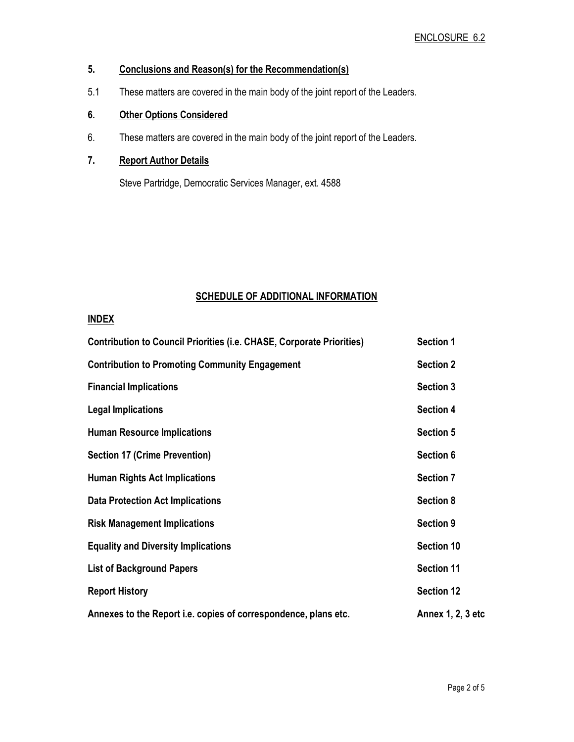# 5. Conclusions and Reason(s) for the Recommendation(s)

5.1 These matters are covered in the main body of the joint report of the Leaders.

# 6. Other Options Considered

6. These matters are covered in the main body of the joint report of the Leaders.

#### 7. Report Author Details

Steve Partridge, Democratic Services Manager, ext. 4588

### SCHEDULE OF ADDITIONAL INFORMATION

### INDEX

| <b>Contribution to Council Priorities (i.e. CHASE, Corporate Priorities)</b> | <b>Section 1</b>  |
|------------------------------------------------------------------------------|-------------------|
| <b>Contribution to Promoting Community Engagement</b>                        | <b>Section 2</b>  |
| <b>Financial Implications</b>                                                | <b>Section 3</b>  |
| <b>Legal Implications</b>                                                    | <b>Section 4</b>  |
| <b>Human Resource Implications</b>                                           | <b>Section 5</b>  |
| <b>Section 17 (Crime Prevention)</b>                                         | Section 6         |
| <b>Human Rights Act Implications</b>                                         | <b>Section 7</b>  |
| <b>Data Protection Act Implications</b>                                      | <b>Section 8</b>  |
| <b>Risk Management Implications</b>                                          | <b>Section 9</b>  |
| <b>Equality and Diversity Implications</b>                                   | <b>Section 10</b> |
| <b>List of Background Papers</b>                                             | <b>Section 11</b> |
| <b>Report History</b>                                                        | <b>Section 12</b> |
| Annexes to the Report i.e. copies of correspondence, plans etc.              | Annex 1, 2, 3 etc |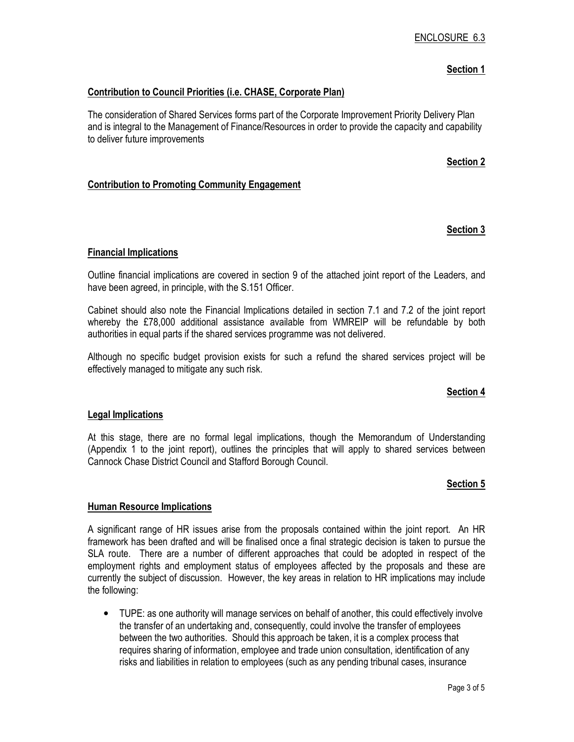### Section 1

#### Contribution to Council Priorities (i.e. CHASE, Corporate Plan)

The consideration of Shared Services forms part of the Corporate Improvement Priority Delivery Plan and is integral to the Management of Finance/Resources in order to provide the capacity and capability to deliver future improvements

#### Section 2

#### Contribution to Promoting Community Engagement

#### Section 3

#### Financial Implications

Outline financial implications are covered in section 9 of the attached joint report of the Leaders, and have been agreed, in principle, with the S.151 Officer.

Cabinet should also note the Financial Implications detailed in section 7.1 and 7.2 of the joint report whereby the £78,000 additional assistance available from WMREIP will be refundable by both authorities in equal parts if the shared services programme was not delivered.

Although no specific budget provision exists for such a refund the shared services project will be effectively managed to mitigate any such risk.

#### Section 4

#### Legal Implications

At this stage, there are no formal legal implications, though the Memorandum of Understanding (Appendix 1 to the joint report), outlines the principles that will apply to shared services between Cannock Chase District Council and Stafford Borough Council.

#### Section 5

#### Human Resource Implications

A significant range of HR issues arise from the proposals contained within the joint report. An HR framework has been drafted and will be finalised once a final strategic decision is taken to pursue the SLA route. There are a number of different approaches that could be adopted in respect of the employment rights and employment status of employees affected by the proposals and these are currently the subject of discussion. However, the key areas in relation to HR implications may include the following:

• TUPE: as one authority will manage services on behalf of another, this could effectively involve the transfer of an undertaking and, consequently, could involve the transfer of employees between the two authorities. Should this approach be taken, it is a complex process that requires sharing of information, employee and trade union consultation, identification of any risks and liabilities in relation to employees (such as any pending tribunal cases, insurance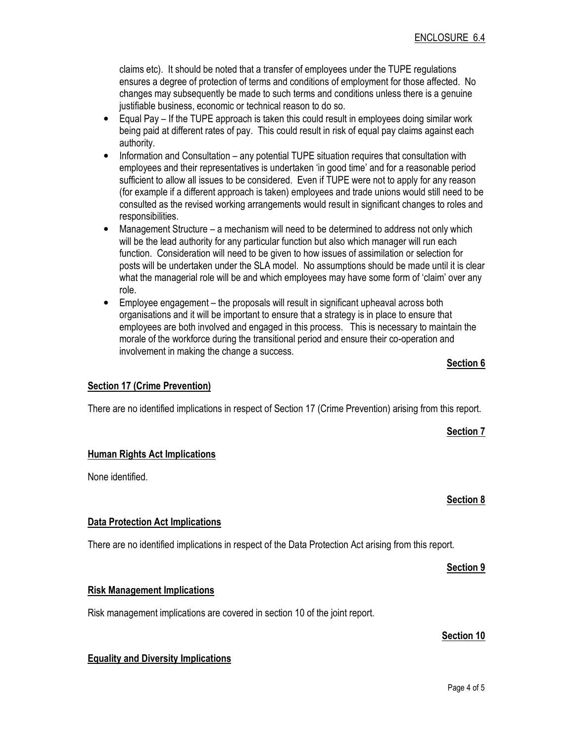claims etc). It should be noted that a transfer of employees under the TUPE regulations ensures a degree of protection of terms and conditions of employment for those affected. No changes may subsequently be made to such terms and conditions unless there is a genuine justifiable business, economic or technical reason to do so.

- Equal Pay If the TUPE approach is taken this could result in employees doing similar work being paid at different rates of pay. This could result in risk of equal pay claims against each authority.
- Information and Consultation any potential TUPE situation requires that consultation with employees and their representatives is undertaken 'in good time' and for a reasonable period sufficient to allow all issues to be considered. Even if TUPE were not to apply for any reason (for example if a different approach is taken) employees and trade unions would still need to be consulted as the revised working arrangements would result in significant changes to roles and responsibilities.
- Management Structure a mechanism will need to be determined to address not only which will be the lead authority for any particular function but also which manager will run each function. Consideration will need to be given to how issues of assimilation or selection for posts will be undertaken under the SLA model. No assumptions should be made until it is clear what the managerial role will be and which employees may have some form of 'claim' over any role.
- Employee engagement the proposals will result in significant upheaval across both organisations and it will be important to ensure that a strategy is in place to ensure that employees are both involved and engaged in this process. This is necessary to maintain the morale of the workforce during the transitional period and ensure their co-operation and involvement in making the change a success.

#### **Section 17 (Crime Prevention)**

There are no identified implications in respect of Section 17 (Crime Prevention) arising from this report.

#### Human Rights Act Implications

None identified.

#### Data Protection Act Implications

There are no identified implications in respect of the Data Protection Act arising from this report.

#### Risk Management Implications

Risk management implications are covered in section 10 of the joint report.

# Section 10

#### Equality and Diversity Implications

# Section 7

Section 6

Section 8

## Section 9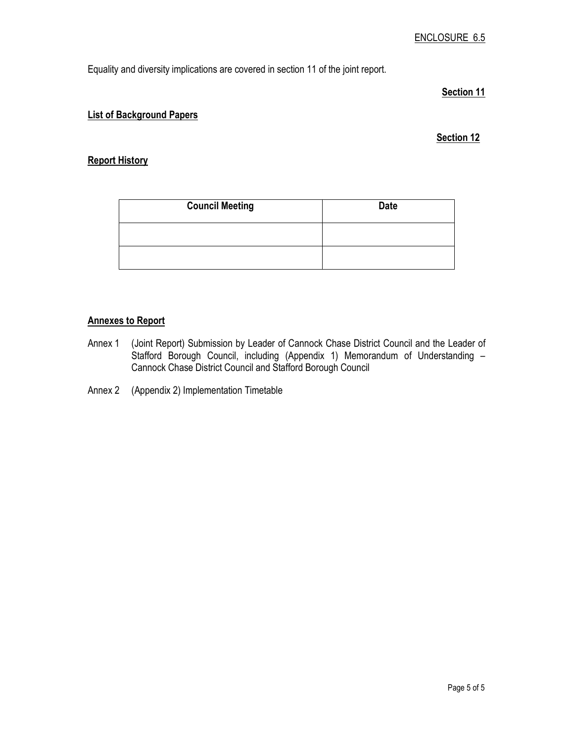Equality and diversity implications are covered in section 11 of the joint report.

#### Section 11

#### List of Background Papers

#### Section 12

#### Report History

| <b>Council Meeting</b> | <b>Date</b> |
|------------------------|-------------|
|                        |             |
|                        |             |

### Annexes to Report

- Annex 1 (Joint Report) Submission by Leader of Cannock Chase District Council and the Leader of Stafford Borough Council, including (Appendix 1) Memorandum of Understanding – Cannock Chase District Council and Stafford Borough Council
- Annex 2 (Appendix 2) Implementation Timetable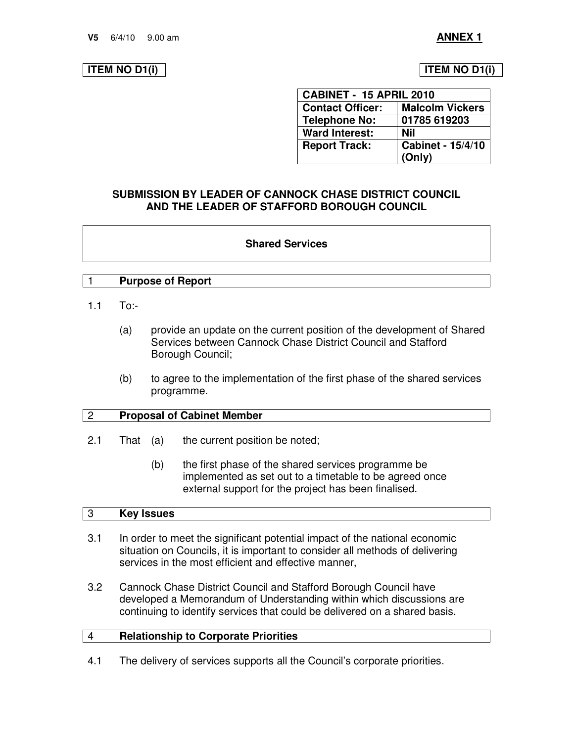#### **ITEM NO D1(i) ITEM NO D1(i)**

| CABINET - 15 APRIL 2010 |                          |  |
|-------------------------|--------------------------|--|
| <b>Contact Officer:</b> | <b>Malcolm Vickers</b>   |  |
| <b>Telephone No:</b>    | 01785 619203             |  |
| <b>Ward Interest:</b>   | Nil                      |  |
| <b>Report Track:</b>    | <b>Cabinet - 15/4/10</b> |  |
|                         | (Only)                   |  |

#### **SUBMISSION BY LEADER OF CANNOCK CHASE DISTRICT COUNCIL AND THE LEADER OF STAFFORD BOROUGH COUNCIL**

#### **Shared Services**

#### 1 **Purpose of Report**

- 1.1 To:-
	- (a) provide an update on the current position of the development of Shared Services between Cannock Chase District Council and Stafford Borough Council;
	- (b) to agree to the implementation of the first phase of the shared services programme.

#### 2 **Proposal of Cabinet Member**

- 2.1 That (a) the current position be noted;
	- (b) the first phase of the shared services programme be implemented as set out to a timetable to be agreed once external support for the project has been finalised.

#### 3 **Key Issues**

- 3.1 In order to meet the significant potential impact of the national economic situation on Councils, it is important to consider all methods of delivering services in the most efficient and effective manner,
- 3.2 Cannock Chase District Council and Stafford Borough Council have developed a Memorandum of Understanding within which discussions are continuing to identify services that could be delivered on a shared basis.

#### 4 **Relationship to Corporate Priorities**

4.1 The delivery of services supports all the Council's corporate priorities.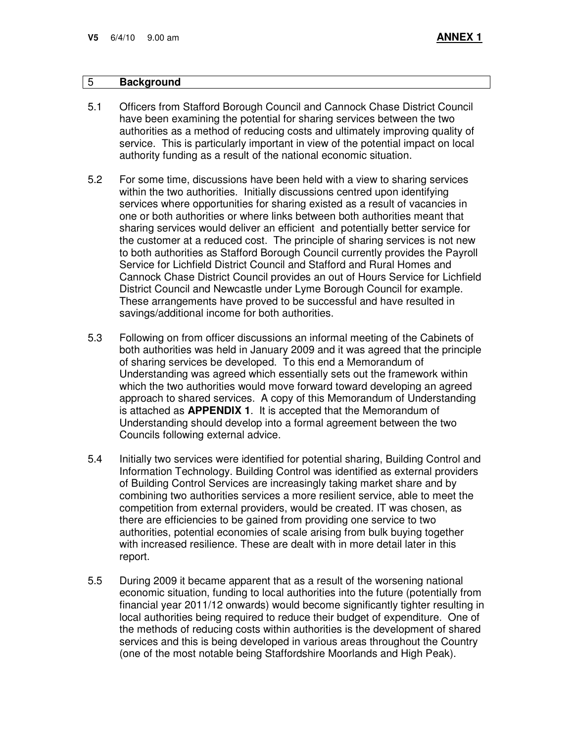#### 5 **Background**

- 5.1 Officers from Stafford Borough Council and Cannock Chase District Council have been examining the potential for sharing services between the two authorities as a method of reducing costs and ultimately improving quality of service. This is particularly important in view of the potential impact on local authority funding as a result of the national economic situation.
- 5.2 For some time, discussions have been held with a view to sharing services within the two authorities. Initially discussions centred upon identifying services where opportunities for sharing existed as a result of vacancies in one or both authorities or where links between both authorities meant that sharing services would deliver an efficient and potentially better service for the customer at a reduced cost. The principle of sharing services is not new to both authorities as Stafford Borough Council currently provides the Payroll Service for Lichfield District Council and Stafford and Rural Homes and Cannock Chase District Council provides an out of Hours Service for Lichfield District Council and Newcastle under Lyme Borough Council for example. These arrangements have proved to be successful and have resulted in savings/additional income for both authorities.
- 5.3 Following on from officer discussions an informal meeting of the Cabinets of both authorities was held in January 2009 and it was agreed that the principle of sharing services be developed. To this end a Memorandum of Understanding was agreed which essentially sets out the framework within which the two authorities would move forward toward developing an agreed approach to shared services. A copy of this Memorandum of Understanding is attached as **APPENDIX 1**. It is accepted that the Memorandum of Understanding should develop into a formal agreement between the two Councils following external advice.
- 5.4 Initially two services were identified for potential sharing, Building Control and Information Technology. Building Control was identified as external providers of Building Control Services are increasingly taking market share and by combining two authorities services a more resilient service, able to meet the competition from external providers, would be created. IT was chosen, as there are efficiencies to be gained from providing one service to two authorities, potential economies of scale arising from bulk buying together with increased resilience. These are dealt with in more detail later in this report.
- 5.5 During 2009 it became apparent that as a result of the worsening national economic situation, funding to local authorities into the future (potentially from financial year 2011/12 onwards) would become significantly tighter resulting in local authorities being required to reduce their budget of expenditure. One of the methods of reducing costs within authorities is the development of shared services and this is being developed in various areas throughout the Country (one of the most notable being Staffordshire Moorlands and High Peak).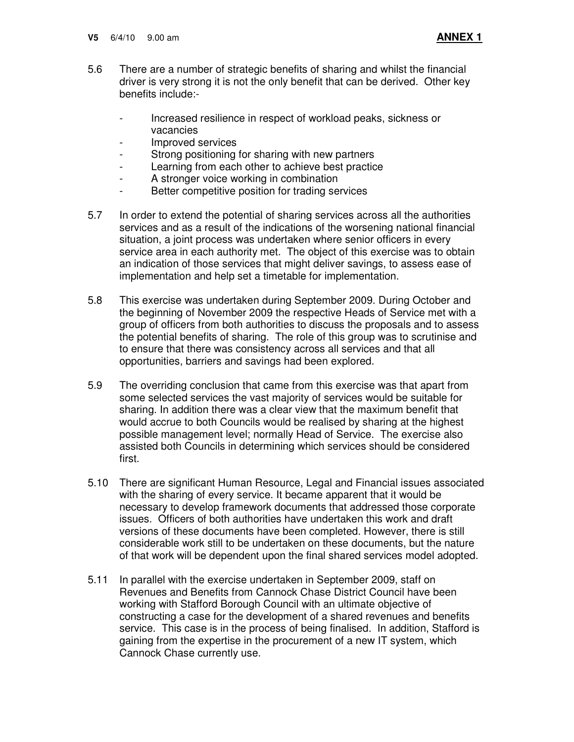- 5.6 There are a number of strategic benefits of sharing and whilst the financial driver is very strong it is not the only benefit that can be derived. Other key benefits include:-
	- Increased resilience in respect of workload peaks, sickness or vacancies
	- Improved services
	- Strong positioning for sharing with new partners
	- Learning from each other to achieve best practice
	- A stronger voice working in combination
	- Better competitive position for trading services
- 5.7 In order to extend the potential of sharing services across all the authorities services and as a result of the indications of the worsening national financial situation, a joint process was undertaken where senior officers in every service area in each authority met. The object of this exercise was to obtain an indication of those services that might deliver savings, to assess ease of implementation and help set a timetable for implementation.
- 5.8 This exercise was undertaken during September 2009. During October and the beginning of November 2009 the respective Heads of Service met with a group of officers from both authorities to discuss the proposals and to assess the potential benefits of sharing. The role of this group was to scrutinise and to ensure that there was consistency across all services and that all opportunities, barriers and savings had been explored.
- 5.9 The overriding conclusion that came from this exercise was that apart from some selected services the vast majority of services would be suitable for sharing. In addition there was a clear view that the maximum benefit that would accrue to both Councils would be realised by sharing at the highest possible management level; normally Head of Service. The exercise also assisted both Councils in determining which services should be considered first.
- 5.10 There are significant Human Resource, Legal and Financial issues associated with the sharing of every service. It became apparent that it would be necessary to develop framework documents that addressed those corporate issues. Officers of both authorities have undertaken this work and draft versions of these documents have been completed. However, there is still considerable work still to be undertaken on these documents, but the nature of that work will be dependent upon the final shared services model adopted.
- 5.11 In parallel with the exercise undertaken in September 2009, staff on Revenues and Benefits from Cannock Chase District Council have been working with Stafford Borough Council with an ultimate objective of constructing a case for the development of a shared revenues and benefits service. This case is in the process of being finalised. In addition, Stafford is gaining from the expertise in the procurement of a new IT system, which Cannock Chase currently use.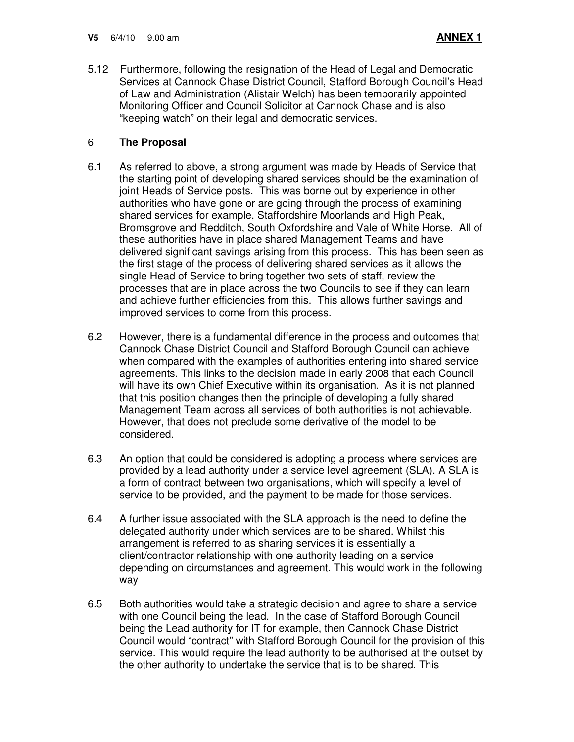5.12 Furthermore, following the resignation of the Head of Legal and Democratic Services at Cannock Chase District Council, Stafford Borough Council's Head of Law and Administration (Alistair Welch) has been temporarily appointed Monitoring Officer and Council Solicitor at Cannock Chase and is also "keeping watch" on their legal and democratic services.

### 6 **The Proposal**

- 6.1 As referred to above, a strong argument was made by Heads of Service that the starting point of developing shared services should be the examination of joint Heads of Service posts. This was borne out by experience in other authorities who have gone or are going through the process of examining shared services for example, Staffordshire Moorlands and High Peak, Bromsgrove and Redditch, South Oxfordshire and Vale of White Horse. All of these authorities have in place shared Management Teams and have delivered significant savings arising from this process. This has been seen as the first stage of the process of delivering shared services as it allows the single Head of Service to bring together two sets of staff, review the processes that are in place across the two Councils to see if they can learn and achieve further efficiencies from this. This allows further savings and improved services to come from this process.
- 6.2 However, there is a fundamental difference in the process and outcomes that Cannock Chase District Council and Stafford Borough Council can achieve when compared with the examples of authorities entering into shared service agreements. This links to the decision made in early 2008 that each Council will have its own Chief Executive within its organisation. As it is not planned that this position changes then the principle of developing a fully shared Management Team across all services of both authorities is not achievable. However, that does not preclude some derivative of the model to be considered.
- 6.3 An option that could be considered is adopting a process where services are provided by a lead authority under a service level agreement (SLA). A SLA is a form of contract between two organisations, which will specify a level of service to be provided, and the payment to be made for those services.
- 6.4 A further issue associated with the SLA approach is the need to define the delegated authority under which services are to be shared. Whilst this arrangement is referred to as sharing services it is essentially a client/contractor relationship with one authority leading on a service depending on circumstances and agreement. This would work in the following way
- 6.5 Both authorities would take a strategic decision and agree to share a service with one Council being the lead. In the case of Stafford Borough Council being the Lead authority for IT for example, then Cannock Chase District Council would "contract" with Stafford Borough Council for the provision of this service. This would require the lead authority to be authorised at the outset by the other authority to undertake the service that is to be shared. This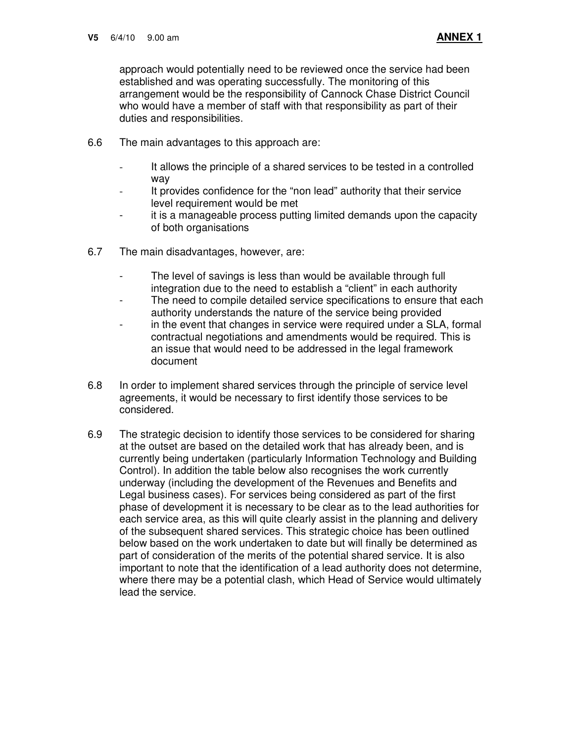approach would potentially need to be reviewed once the service had been established and was operating successfully. The monitoring of this arrangement would be the responsibility of Cannock Chase District Council who would have a member of staff with that responsibility as part of their duties and responsibilities.

- 6.6 The main advantages to this approach are:
	- It allows the principle of a shared services to be tested in a controlled way
	- It provides confidence for the "non lead" authority that their service level requirement would be met
	- it is a manageable process putting limited demands upon the capacity of both organisations
- 6.7 The main disadvantages, however, are:
	- The level of savings is less than would be available through full integration due to the need to establish a "client" in each authority
	- The need to compile detailed service specifications to ensure that each authority understands the nature of the service being provided
	- in the event that changes in service were required under a SLA, formal contractual negotiations and amendments would be required. This is an issue that would need to be addressed in the legal framework document
- 6.8 In order to implement shared services through the principle of service level agreements, it would be necessary to first identify those services to be considered.
- 6.9 The strategic decision to identify those services to be considered for sharing at the outset are based on the detailed work that has already been, and is currently being undertaken (particularly Information Technology and Building Control). In addition the table below also recognises the work currently underway (including the development of the Revenues and Benefits and Legal business cases). For services being considered as part of the first phase of development it is necessary to be clear as to the lead authorities for each service area, as this will quite clearly assist in the planning and delivery of the subsequent shared services. This strategic choice has been outlined below based on the work undertaken to date but will finally be determined as part of consideration of the merits of the potential shared service. It is also important to note that the identification of a lead authority does not determine, where there may be a potential clash, which Head of Service would ultimately lead the service.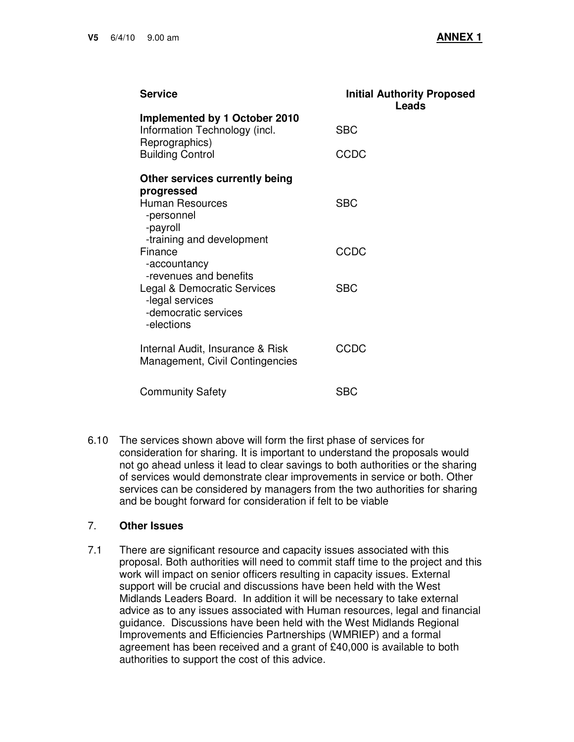| <b>Service</b>                                                                       | <b>Initial Authority Proposed</b><br>Leads |
|--------------------------------------------------------------------------------------|--------------------------------------------|
| Implemented by 1 October 2010<br>Information Technology (incl.<br>Reprographics)     | <b>SBC</b>                                 |
| <b>Building Control</b>                                                              | <b>CCDC</b>                                |
| Other services currently being<br>progressed                                         |                                            |
| <b>Human Resources</b><br>-personnel<br>-payroll<br>-training and development        | <b>SBC</b>                                 |
| Finance<br>-accountancy<br>-revenues and benefits                                    | CCDC                                       |
| Legal & Democratic Services<br>-legal services<br>-democratic services<br>-elections | <b>SBC</b>                                 |
| Internal Audit, Insurance & Risk<br>Management, Civil Contingencies                  | <b>CCDC</b>                                |
| <b>Community Safety</b>                                                              | <b>SBC</b>                                 |

6.10 The services shown above will form the first phase of services for consideration for sharing. It is important to understand the proposals would not go ahead unless it lead to clear savings to both authorities or the sharing of services would demonstrate clear improvements in service or both. Other services can be considered by managers from the two authorities for sharing and be bought forward for consideration if felt to be viable

## 7. **Other Issues**

7.1 There are significant resource and capacity issues associated with this proposal. Both authorities will need to commit staff time to the project and this work will impact on senior officers resulting in capacity issues. External support will be crucial and discussions have been held with the West Midlands Leaders Board. In addition it will be necessary to take external advice as to any issues associated with Human resources, legal and financial guidance. Discussions have been held with the West Midlands Regional Improvements and Efficiencies Partnerships (WMRIEP) and a formal agreement has been received and a grant of £40,000 is available to both authorities to support the cost of this advice.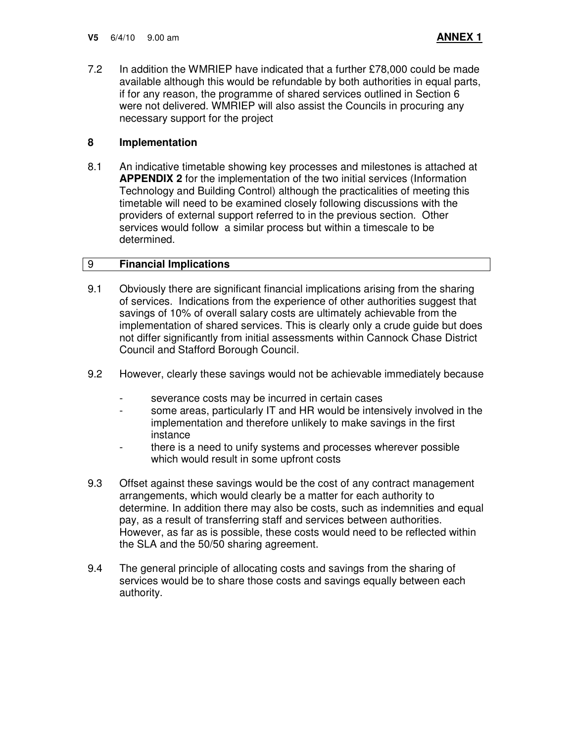7.2 In addition the WMRIEP have indicated that a further £78,000 could be made available although this would be refundable by both authorities in equal parts, if for any reason, the programme of shared services outlined in Section 6 were not delivered. WMRIEP will also assist the Councils in procuring any necessary support for the project

### **8 Implementation**

8.1 An indicative timetable showing key processes and milestones is attached at **APPENDIX 2** for the implementation of the two initial services (Information Technology and Building Control) although the practicalities of meeting this timetable will need to be examined closely following discussions with the providers of external support referred to in the previous section. Other services would follow a similar process but within a timescale to be determined.

#### 9 **Financial Implications**

- 9.1 Obviously there are significant financial implications arising from the sharing of services. Indications from the experience of other authorities suggest that savings of 10% of overall salary costs are ultimately achievable from the implementation of shared services. This is clearly only a crude guide but does not differ significantly from initial assessments within Cannock Chase District Council and Stafford Borough Council.
- 9.2 However, clearly these savings would not be achievable immediately because
	- severance costs may be incurred in certain cases
	- some areas, particularly IT and HR would be intensively involved in the implementation and therefore unlikely to make savings in the first instance
	- there is a need to unify systems and processes wherever possible which would result in some upfront costs
- 9.3 Offset against these savings would be the cost of any contract management arrangements, which would clearly be a matter for each authority to determine. In addition there may also be costs, such as indemnities and equal pay, as a result of transferring staff and services between authorities. However, as far as is possible, these costs would need to be reflected within the SLA and the 50/50 sharing agreement.
- 9.4 The general principle of allocating costs and savings from the sharing of services would be to share those costs and savings equally between each authority.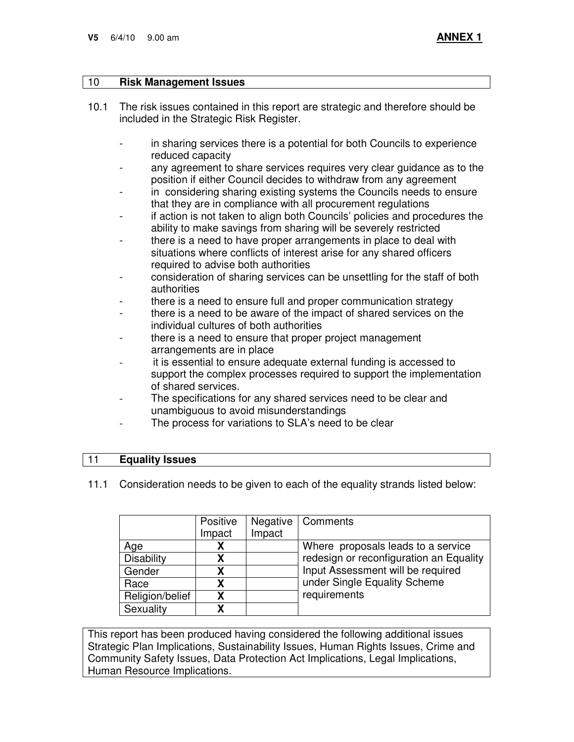#### 10 **Risk Management Issues**

- 10.1 The risk issues contained in this report are strategic and therefore should be included in the Strategic Risk Register.
	- in sharing services there is a potential for both Councils to experience reduced capacity
	- any agreement to share services requires very clear guidance as to the position if either Council decides to withdraw from any agreement
	- in considering sharing existing systems the Councils needs to ensure that they are in compliance with all procurement regulations
	- if action is not taken to align both Councils' policies and procedures the ability to make savings from sharing will be severely restricted
	- there is a need to have proper arrangements in place to deal with situations where conflicts of interest arise for any shared officers required to advise both authorities
	- consideration of sharing services can be unsettling for the staff of both authorities
	- there is a need to ensure full and proper communication strategy
	- there is a need to be aware of the impact of shared services on the individual cultures of both authorities
	- there is a need to ensure that proper project management arrangements are in place
	- it is essential to ensure adequate external funding is accessed to support the complex processes required to support the implementation of shared services.
	- The specifications for any shared services need to be clear and unambiguous to avoid misunderstandings
	- The process for variations to SLA's need to be clear

#### 11 **Equality Issues**

11.1 Consideration needs to be given to each of the equality strands listed below:

|                   | Positive | Negative | Comments                                |
|-------------------|----------|----------|-----------------------------------------|
|                   | Impact   | Impact   |                                         |
| Age               |          |          | Where proposals leads to a service      |
| <b>Disability</b> | Χ        |          | redesign or reconfiguration an Equality |
| Gender            | χ        |          | Input Assessment will be required       |
| Race              | χ        |          | under Single Equality Scheme            |
| Religion/belief   | χ        |          | requirements                            |
| Sexuality         | χ        |          |                                         |

This report has been produced having considered the following additional issues Strategic Plan Implications, Sustainability Issues, Human Rights Issues, Crime and Community Safety Issues, Data Protection Act Implications, Legal Implications, Human Resource Implications.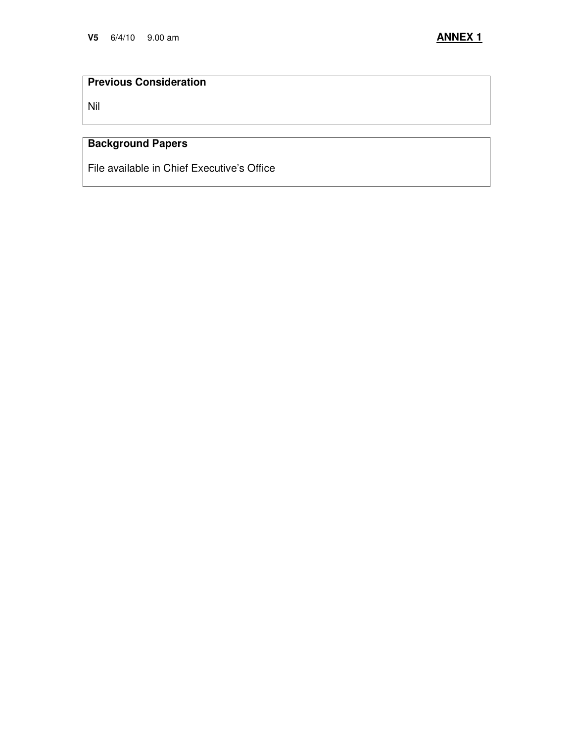# **Previous Consideration**

Nil

# **Background Papers**

File available in Chief Executive's Office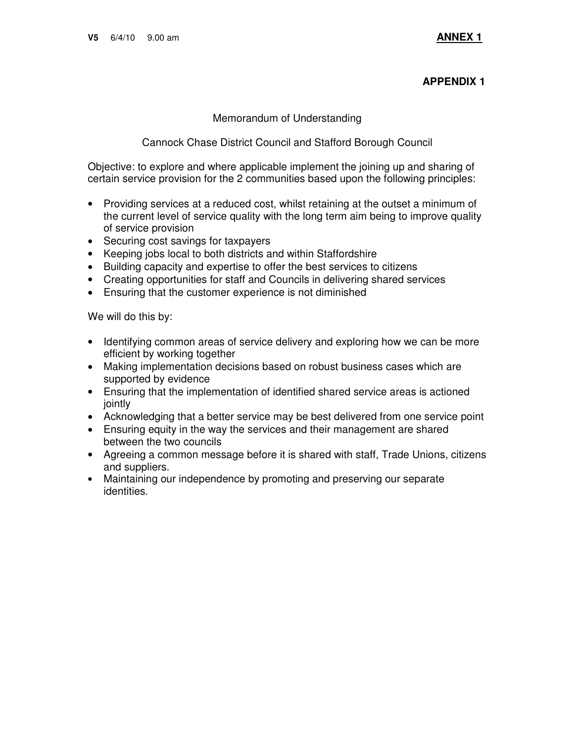#### **APPENDIX 1**

#### Memorandum of Understanding

#### Cannock Chase District Council and Stafford Borough Council

Objective: to explore and where applicable implement the joining up and sharing of certain service provision for the 2 communities based upon the following principles:

- Providing services at a reduced cost, whilst retaining at the outset a minimum of the current level of service quality with the long term aim being to improve quality of service provision
- Securing cost savings for taxpayers
- Keeping jobs local to both districts and within Staffordshire
- Building capacity and expertise to offer the best services to citizens
- Creating opportunities for staff and Councils in delivering shared services
- Ensuring that the customer experience is not diminished

We will do this by:

- Identifying common areas of service delivery and exploring how we can be more efficient by working together
- Making implementation decisions based on robust business cases which are supported by evidence
- Ensuring that the implementation of identified shared service areas is actioned jointly
- Acknowledging that a better service may be best delivered from one service point
- Ensuring equity in the way the services and their management are shared between the two councils
- Agreeing a common message before it is shared with staff, Trade Unions, citizens and suppliers.
- Maintaining our independence by promoting and preserving our separate identities.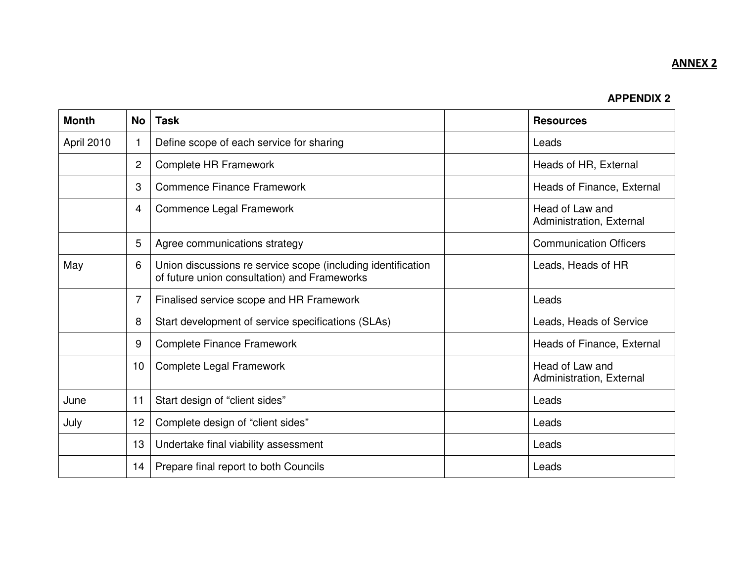# ANNEX 2

### **APPENDIX 2**

| <b>Month</b> | <b>No</b>      | <b>Task</b>                                                                                                  |  | <b>Resources</b>                            |
|--------------|----------------|--------------------------------------------------------------------------------------------------------------|--|---------------------------------------------|
| April 2010   |                | Define scope of each service for sharing                                                                     |  | Leads                                       |
|              | $\overline{2}$ | Complete HR Framework                                                                                        |  | Heads of HR, External                       |
|              | 3              | Commence Finance Framework                                                                                   |  | Heads of Finance, External                  |
|              | 4              | Commence Legal Framework                                                                                     |  | Head of Law and<br>Administration, External |
|              | 5              | Agree communications strategy                                                                                |  | <b>Communication Officers</b>               |
| May          | 6              | Union discussions re service scope (including identification<br>of future union consultation) and Frameworks |  | Leads, Heads of HR                          |
|              | 7              | Finalised service scope and HR Framework                                                                     |  | Leads                                       |
|              | 8              | Start development of service specifications (SLAs)                                                           |  | Leads, Heads of Service                     |
|              | 9              | <b>Complete Finance Framework</b>                                                                            |  | Heads of Finance, External                  |
|              | 10             | Complete Legal Framework                                                                                     |  | Head of Law and<br>Administration, External |
| June         | 11             | Start design of "client sides"                                                                               |  | Leads                                       |
| July         | 12             | Complete design of "client sides"                                                                            |  | Leads                                       |
|              | 13             | Undertake final viability assessment                                                                         |  | Leads                                       |
|              | 14             | Prepare final report to both Councils                                                                        |  | Leads                                       |